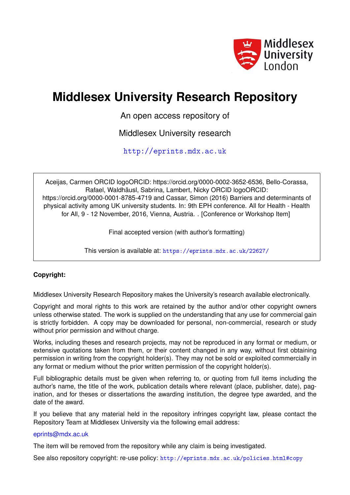

# **Middlesex University Research Repository**

An open access repository of

Middlesex University research

<http://eprints.mdx.ac.uk>

Aceijas, Carmen ORCID logoORCID: https://orcid.org/0000-0002-3652-6536, Bello-Corassa, Rafael, Waldhäusl, Sabrina, Lambert, Nicky ORCID logoORCID: https://orcid.org/0000-0001-8785-4719 and Cassar, Simon (2016) Barriers and determinants of physical activity among UK university students. In: 9th EPH conference. All for Health - Health for All, 9 - 12 November, 2016, Vienna, Austria. . [Conference or Workshop Item]

Final accepted version (with author's formatting)

This version is available at: <https://eprints.mdx.ac.uk/22627/>

## **Copyright:**

Middlesex University Research Repository makes the University's research available electronically.

Copyright and moral rights to this work are retained by the author and/or other copyright owners unless otherwise stated. The work is supplied on the understanding that any use for commercial gain is strictly forbidden. A copy may be downloaded for personal, non-commercial, research or study without prior permission and without charge.

Works, including theses and research projects, may not be reproduced in any format or medium, or extensive quotations taken from them, or their content changed in any way, without first obtaining permission in writing from the copyright holder(s). They may not be sold or exploited commercially in any format or medium without the prior written permission of the copyright holder(s).

Full bibliographic details must be given when referring to, or quoting from full items including the author's name, the title of the work, publication details where relevant (place, publisher, date), pagination, and for theses or dissertations the awarding institution, the degree type awarded, and the date of the award.

If you believe that any material held in the repository infringes copyright law, please contact the Repository Team at Middlesex University via the following email address:

#### [eprints@mdx.ac.uk](mailto:eprints@mdx.ac.uk)

The item will be removed from the repository while any claim is being investigated.

See also repository copyright: re-use policy: <http://eprints.mdx.ac.uk/policies.html#copy>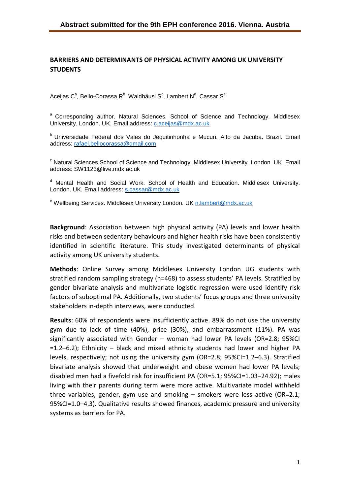## **BARRIERS AND DETERMINANTS OF PHYSICAL ACTIVITY AMONG UK UNIVERSITY STUDENTS**

Aceijas C<sup>a</sup>, Bello-Corassa R<sup>b</sup>, Waldhäusl S<sup>c</sup>, Lambert N<sup>d</sup>, Cassar S<sup>e</sup>

<sup>a</sup> Corresponding author. Natural Sciences. School of Science and Technology. Middlesex University. London. UK. Email address: *[c.aceijas@mdx.ac.uk](mailto:c.aceijas@mdx.ac.uk)* 

<sup>b</sup> Universidade Federal dos Vales do Jequitinhonha e Mucuri. Alto da Jacuba. Brazil. Email address: [rafael.bellocorassa@gmail.com](mailto:rafael.bellocorassa@gmail.com)

<sup>c</sup> Natural Sciences. School of Science and Technology. Middlesex University. London. UK. Email address: SW1123@live.mdx.ac.uk

<sup>d</sup> Mental Health and Social Work. School of Health and Education. Middlesex University. London. UK. Email address: [s.cassar@mdx.ac.uk](mailto:s.cassar@mdx.ac.uk)

e Wellbeing Services. Middlesex University London. UK [n.lambert@mdx.ac.uk](mailto:n.lambert@mdx.ac.uk)

**Background**: Association between high physical activity (PA) levels and lower health risks and between sedentary behaviours and higher health risks have been consistently identified in scientific literature. This study investigated determinants of physical activity among UK university students.

**Methods**: Online Survey among Middlesex University London UG students with stratified random sampling strategy (n=468) to assess students' PA levels. Stratified by gender bivariate analysis and multivariate logistic regression were used identify risk factors of suboptimal PA. Additionally, two students' focus groups and three university stakeholders in-depth interviews, were conducted.

**Results**: 60% of respondents were insufficiently active. 89% do not use the university gym due to lack of time (40%), price (30%), and embarrassment (11%). PA was significantly associated with Gender – woman had lower PA levels (OR=2.8; 95%CI =1.2–6.2); Ethnicity – black and mixed ethnicity students had lower and higher PA levels, respectively; not using the university gym (OR=2.8; 95%CI=1.2–6.3). Stratified bivariate analysis showed that underweight and obese women had lower PA levels; disabled men had a fivefold risk for insufficient PA (OR=5.1; 95%CI=1.03–24.92); males living with their parents during term were more active. Multivariate model withheld three variables, gender, gym use and smoking – smokers were less active (OR=2.1; 95%CI=1.0–4.3). Qualitative results showed finances, academic pressure and university systems as barriers for PA.